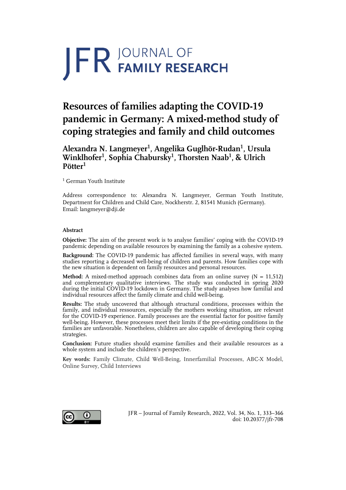# **JFR JOURNAL OF**

# **Resources of families adapting the COVID-19 pandemic in Germany: A mixed-method study of coping strategies and family and child outcomes**

# **Alexandra N. Langmeyer1 , Angelika Guglhör-Rudan1 , Ursula Winklhofer1 , Sophia Chabursky<sup>1</sup> , Thorsten Naab<sup>1</sup> , & Ulrich Pötter1**

<sup>1</sup> German Youth Institute

Address correspondence to: Alexandra N. Langmeyer, German Youth Institute, Department for Children and Child Care, Nockherstr. 2, 81541 Munich (Germany). Email: langmeyer@dji.de

# **Abstract**

**Objective:** The aim of the present work is to analyse families' coping with the COVID-19 pandemic depending on available resources by examining the family as a cohesive system.

**Background:** The COVID-19 pandemic has affected families in several ways, with many studies reporting a decreased well-being of children and parents. How families cope with the new situation is dependent on family resources and personal resources.

**Method:** A mixed-method approach combines data from an online survey  $(N = 11,512)$ and complementary qualitative interviews. The study was conducted in spring 2020 during the initial COVID-19 lockdown in Germany. The study analyses how familial and individual resources affect the family climate and child well-being.

**Results:** The study uncovered that although structural conditions, processes within the family, and individual ressources, especially the mothers working situation, are relevant for the COVID-19 experience. Family processes are the essential factor for positive family well-being. However, these processes meet their limits if the pre-existing conditions in the families are unfavorable. Nonetheless, children are also capable of developing their coping strategies.

**Conclusion:** Future studies should examine families and their available resources as a whole system and include the children's perspective.

**Key words:** Family Climate, Child Well-Being, Innerfamilial Processes, ABC-X Model, Online Survey, Child Interviews



JFR – Journal of Family Research, 2022, Vol. 34, No. 1, 333–366 doi: 10.20377/jfr-708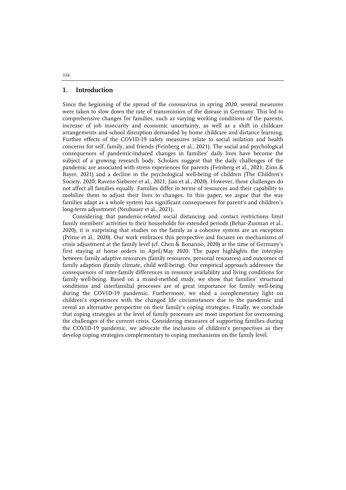# **1. Introduction**

Since the beginning of the spread of the coronavirus in spring 2020, several measures were taken to slow down the rate of transmission of the disease in Germany. This led to comprehensive changes for families, such as varying working conditions of the parents, increase of job insecurity and economic uncertainty, as well as a shift in childcare arrangements and school disruption demanded by home childcare and distance learning. Further effects of the COVID-19 safety measures relate to social isolation and health concerns for self, family, and friends (Feinberg et al., 2021). The social and psychological consequences of pandemic-induced changes in families' daily lives have become the subject of a growing research body. Scholars suggest that the daily challenges of the pandemic are associated with stress experiences for parents (Feinberg et al., 2021; Zinn & Bayer, 2021) and a decline in the psychological well-being of children (The Children's Society, 2020; Ravens-Sieberer et al., 2021; Jiao et al., 2020). However, these challenges do not affect all families equally. Families differ in terms of resources and their capability to mobilize them to adjust their lives to changes. In this paper, we argue that the way families adapt as a whole system has significant consequences for parent's and children's long-term adjustment (Neubauer et al., 2021).

Considering that pandemic-related social distancing and contact restrictions limit family members' activities to their households for extended periods (Behar-Zusman et al., 2020), it is surprising that studies on the family as a cohesive system are an exception (Prime et al., 2020). Our work embraces this perspective and focuses on mechanisms of crisis adjustment at the family level (cf. Chen & Bonanno, 2020) at the time of Germany's first staying at home orders in April/May 2020. The paper highlights the interplay between family adaptive resources (family resources, personal resources) and outcomes of family adaption (family climate, child well-being). Our empirical approach addresses the consequences of inter-family differences in resource availability and living conditions for family well-being. Based on a mixed-method study, we show that families' structural conditions and interfamilial processes are of great importance for family well-being during the COVID-19 pandemic. Furthermore, we shed a complementary light on children's experiences with the changed life circumstances due to the pandemic and reveal an alternative perspective on their family's coping strategies. Finally, we conclude that coping strategies at the level of family processes are most important for overcoming the challenges of the current crisis. Considering measures of supporting families during the COVID-19 pandemic, we advocate the inclusion of children's perspectives as they develop coping strategies complementary to coping mechanisms on the family level.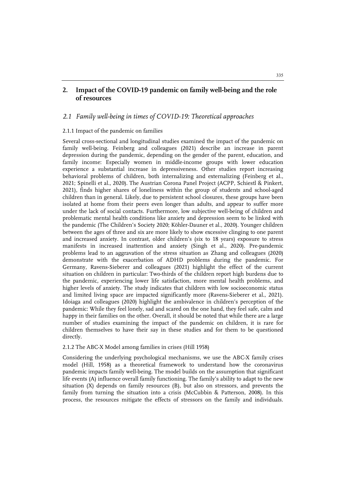# **2. Impact of the COVID-19 pandemic on family well-being and the role of resources**

# *2.1 Family well-being in times of COVID-19: Theoretical approaches*

#### 2.1.1 Impact of the pandemic on families

Several cross-sectional and longitudinal studies examined the impact of the pandemic on family well-being. Feinberg and colleagues (2021) describe an increase in parent depression during the pandemic, depending on the gender of the parent, education, and family income: Especially women in middle-income groups with lower education experience a substantial increase in depressiveness. Other studies report increasing behavioral problems of children, both internalizing and externalizing (Feinberg et al., 2021; Spinelli et al., 2020). The Austrian Corona Panel Project (ACPP, Schiestl & Pinkert, 2021), finds higher shares of loneliness within the group of students and school-aged children than in general. Likely, due to persistent school closures, these groups have been isolated at home from their peers even longer than adults, and appear to suffer more under the lack of social contacts. Furthermore, low subjective well-being of children and problematic mental health conditions like anxiety and depression seem to be linked with the pandemic (The Children's Society 2020; Köhler-Dauner et al., 2020). Younger children between the ages of three and six are more likely to show excessive clinging to one parent and increased anxiety. In contrast, older children's (six to 18 years) exposure to stress manifests in increased inattention and anxiety (Singh et al., 2020). Pre-pandemic problems lead to an aggravation of the stress situation as Zhang and colleagues (2020) demonstrate with the exacerbation of ADHD problems during the pandemic. For Germany, Ravens-Sieberer and colleagues (2021) highlight the effect of the current situation on children in particular: Two-thirds of the children report high burdens due to the pandemic, experiencing lower life satisfaction, more mental health problems, and higher levels of anxiety. The study indicates that children with low socioeconomic status and limited living space are impacted significantly more (Ravens-Sieberer et al., 2021). Idoiaga and colleagues (2020) highlight the ambivalence in children's perception of the pandemic: While they feel lonely, sad and scared on the one hand, they feel safe, calm and happy in their families on the other. Overall, it should be noted that while there are a large number of studies examining the impact of the pandemic on children, it is rare for children themselves to have their say in these studies and for them to be questioned directly.

#### 2.1.2 The ABC-X Model among families in crises (Hill 1958)

Considering the underlying psychological mechanisms, we use the ABC-X family crises model (Hill, 1958) as a theoretical framework to understand how the coronavirus pandemic impacts family well-being. The model builds on the assumption that significant life events (A) influence overall family functioning. The family's ability to adapt to the new situation (X) depends on family resources (B), but also on stressors, and prevents the family from turning the situation into a crisis (McCubbin & Patterson, 2008). In this process, the resources mitigate the effects of stressors on the family and individuals.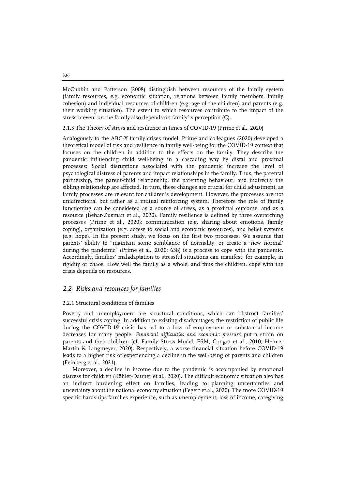McCubbin and Patterson (2008) distinguish between resources of the family system (family resources, e.g. economic situation, relations between family members, family cohesion) and individual resources of children (e.g. age of the children) and parents (e.g. their working situation). The extent to which resources contribute to the impact of the stressor event on the family also depends on family`s perception (C).

2.1.3 The Theory of stress and resilience in times of COVID-19 (Prime et al., 2020)

Analogously to the ABC-X family crises model, Prime and colleagues (2020) developed a theoretical model of risk and resilience in family well-being for the COVID-19 context that focuses on the children in addition to the effects on the family. They describe the pandemic influencing child well-being in a cascading way by distal and proximal processes: Social disruptions associated with the pandemic increase the level of psychological distress of parents and impact relationships in the family. Thus, the parental partnership, the parent-child relationship, the parenting behaviour, and indirectly the sibling relationship are affected. In turn, these changes are crucial for child adjustment, as family processes are relevant for children's development. However, the processes are not unidirectional but rather as a mutual reinforcing system. Therefore the role of family functioning can be considered as a source of stress, as a proximal outcome, and as a resource (Behar-Zusman et al., 2020). Family resilience is defined by three overarching processes (Prime et al., 2020): communication (e.g. sharing about emotions, family coping), organization (e.g. access to social and economic resources), and belief systems (e.g. hope). In the present study, we focus on the first two processes. We assume that parents' ability to "maintain some semblance of normality, or create a 'new normal' during the pandemic" (Prime et al., 2020: 638) is a process to cope with the pandemic. Accordingly, families' maladaptation to stressful situations can manifest, for example, in rigidity or chaos. How well the family as a whole, and thus the children, cope with the crisis depends on resources.

# *2.2 Risks and resources for families*

#### 2.2.1 Structural conditions of families

Poverty and unemployment are structural conditions, which can obstruct families' successful crisis coping. In addition to existing disadvantages, the restriction of public life during the COVID-19 crisis has led to a loss of employment or substantial income decreases for many people. *Financial difficulties and economic pressure* put a strain on parents and their children (cf. Family Stress Model, FSM, Conger et al., 2010; Heintz-Martin & Langmeyer, 2020). Respectively, a worse financial situation before COVID-19 leads to a higher risk of experiencing a decline in the well-being of parents and children (Feinberg et al., 2021).

Moreover, a decline in income due to the pandemic is accompanied by emotional distress for children (Köhler-Dauner et al., 2020). The difficult economic situation also has an indirect burdening effect on families, leading to planning uncertainties and uncertainty about the national economy situation (Fegert et al., 2020). The more COVID-19 specific hardships families experience, such as unemployment, loss of income, caregiving

336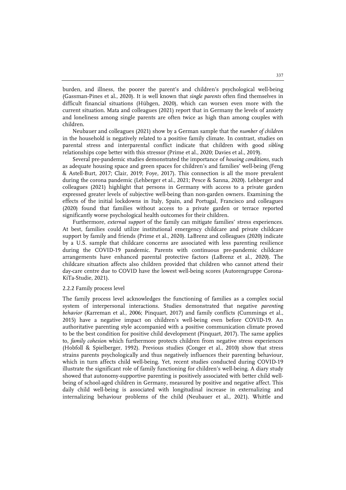burden, and illness, the poorer the parent's and children's psychological well-being (Gassman-Pines et al., 2020). It is well known that *single parents* often find themselves in difficult financial situations (Hübgen, 2020), which can worsen even more with the current situation. Mata and colleagues (2021) report that in Germany the levels of anxiety and loneliness among single parents are often twice as high than among couples with children.

Neubauer and colleagues (2021) show by a German sample that the *number of children* in the household is negatively related to a positive family climate. In contrast, studies on parental stress and interparental conflict indicate that children with good *sibling* relationships cope better with this stressor (Prime et al., 2020; Davies et al., 2019).

Several pre-pandemic studies demonstrated the importance of *housing conditions*, such as adequate housing space and green spaces for children's and families' well-being (Feng & Astell-Burt, 2017; Clair, 2019; Foye, 2017). This connection is all the more prevalent during the corona pandemic (Lehberger et al., 2021; Pesce & Sanna, 2020). Lehberger and colleagues (2021) highlight that persons in Germany with access to a private garden expressed greater levels of subjective well-being than non-garden owners. Examining the effects of the initial lockdowns in Italy, Spain, and Portugal, Francisco and colleagues (2020) found that families without access to a private garden or terrace reported significantly worse psychological health outcomes for their children.

Furthermore, *external support* of the family can mitigate families' stress experiences. At best, families could utilize institutional emergency childcare and private childcare support by family and friends (Prime et al., 2020). LaBrenz and colleagues (2020) indicate by a U.S. sample that childcare concerns are associated with less parenting resilience during the COVID-19 pandemic. Parents with continuous pre-pandemic childcare arrangements have enhanced parental protective factors (LaBrenz et al., 2020). The childcare situation affects also children provided that children who cannot attend their day-care centre due to COVID have the lowest well-being scores (Autorengruppe Corona-KiTa-Studie, 2021).

#### 2.2.2 Family process level

The family process level acknowledges the functioning of families as a complex social system of interpersonal interactions. Studies demonstrated that negative *parenting behavior* (Karreman et al., 2006; Pinquart, 2017) and family conflicts (Cummings et al., 2015) have a negative impact on children's well-being even before COVID-19. An authoritative parenting style accompanied with a positive communication climate proved to be the best condition for positive child development (Pinquart, 2017). The same applies to, *family cohesion* which furthermore protects children from negative stress experiences (Hobfoll & Spielberger, 1992). Previous studies (Conger et al., 2010) show that stress strains parents psychologically and thus negatively influences their parenting behaviour, which in turn affects child well-being. Yet, recent studies conducted during COVID-19 illustrate the significant role of family functioning for children's well-being. A diary study showed that autonomy-supportive parenting is positively associated with better child wellbeing of school-aged children in Germany, measured by positive and negative affect. This daily child well-being is associated with longitudinal increase in externalizing and internalizing behaviour problems of the child (Neubauer et al., 2021). Whittle and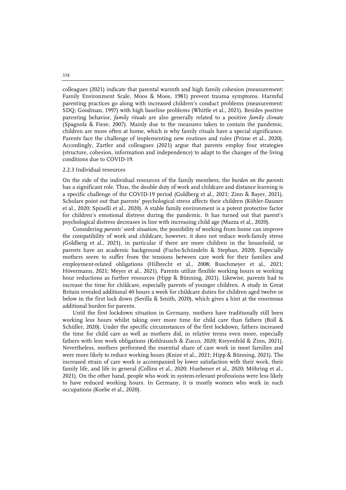colleagues (2021) indicate that parental warmth and high family cohesion (measurement: Family Environment Scale, Moos & Moos, 1981) prevent trauma symptoms. Harmful parenting practices go along with increased children's conduct problems (measurement: SDQ; Goodman, 1997) with high baseline problems (Whittle et al., 2021). Besides positive parenting behavior, *family rituals* are also generally related to a positive *family climate* (Spagnola & Fiese, 2007). Mainly due to the measures taken to contain the pandemic, children are more often at home, which is why family rituals have a special significance. Parents face the challenge of implementing new routines and rules (Prime et al., 2020). Accordingly, Zartler and colleagues (2021) argue that parents employ four strategies (structure, cohesion, information and independence) to adapt to the changes of the living conditions due to COVID-19.

#### 2.2.3 Individual resources

On the side of the individual resources of the family members, the *burden on the parents* has a significant role. Thus, the double duty of work and childcare and distance learning is a specific challenge of the COVID-19 period (Goldberg et al., 2021; Zinn & Bayer, 2021). Scholars point out that parents' psychological stress affects their children (Köhler-Dauner et al., 2020; Spinelli et al., 2020). A stable family environment is a potent protective factor for children's emotional distress during the pandemic. It has turned out that parent's psychological distress decreases in line with increasing child age (Mazza et al., 2020).

Considering *parents' work situation*, the possibility of working from home can improve the compatibility of work and childcare, however, it does not reduce work-family stress (Goldberg et al., 2021), in particular if there are more children in the household, or parents have an academic background (Fuchs-Schündeln & Stephan, 2020). Especially mothers seem to suffer from the tensions between care work for their families and employment-related obligations (Hilbrecht et al., 2008; Buschmeyer et al., 2021; Hövermann, 2021; Meyer et al., 2021). Parents utilize flexible working hours or working hour reductions as further resources (Hipp & Bünning, 2021). Likewise, parents had to increase the time for childcare, especially parents of younger children. A study in Great Britain revealed additional 40 hours a week for childcare duties for children aged twelve or below in the first lock down (Sevilla & Smith, 2020), which gives a hint at the enormous additional burden for parents.

Until the first lockdown situation in Germany, mothers have traditionally still been working less hours whilst taking over more time for child care than fathers (Boll & Schüller, 2020). Under the specific circumstances of the first lockdown, fathers increased the time for child care as well as mothers did, in relative terms even more, especially fathers with less work obligations (Kohlrausch & Zucco, 2020; Kreyenfeld & Zinn, 2021). Nevertheless, mothers performed the essential share of care work in most families and were more likely to reduce working hours (Knize et al., 2021; Hipp & Bünning, 2021). The increased strain of care work is accompanied by lower satisfaction with their work, their family life, and life in general (Collins et al., 2020; Huebener et al., 2020; Möhring et al., 2021). On the other hand, people who work in system-relevant professions were less likely to have reduced working hours. In Germany, it is mostly women who work in such occupations (Koebe et al., 2020).

338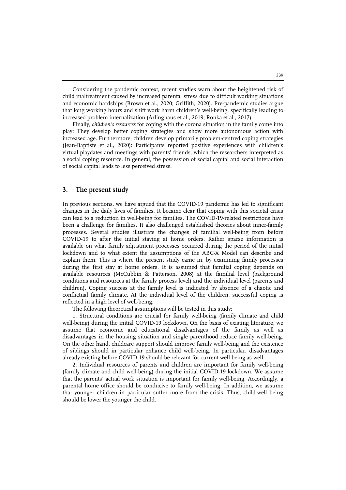Considering the pandemic context, recent studies warn about the heightened risk of child maltreatment caused by increased parental stress due to difficult working situations and economic hardships (Brown et al., 2020; Griffith, 2020). Pre-pandemic studies argue that long working hours and shift work harm children's well-being, specifically leading to increased problem internalization (Arlinghaus et al., 2019; Rönkä et al., 2017).

Finally, *children's resources* for coping with the corona situation in the family come into play: They develop better coping strategies and show more autonomous action with increased age. Furthermore, children develop primarily problem-centred coping strategies (Jean-Baptiste et al., 2020): Participants reported positive experiences with children's virtual playdates and meetings with parents' friends, which the researchers interpreted as a social coping resource. In general, the possession of social capital and social interaction of social capital leads to less perceived stress.

# **3. The present study**

In previous sections, we have argued that the COVID-19 pandemic has led to significant changes in the daily lives of families. It became clear that coping with this societal crisis can lead to a reduction in well-being for families. The COVID-19-related restrictions have been a challenge for families. It also challenged established theories about inner-family processes. Several studies illustrate the changes of familial well-being from before COVID-19 to after the initial staying at home orders. Rather sparse information is available on what family adjustment processes occurred during the period of the initial lockdown and to what extent the assumptions of the ABC-X Model can describe and explain them. This is where the present study came in, by examining family processes during the first stay at home orders. It is assumed that familial coping depends on available resources (McCubbin & Patterson, 2008) at the familial level (background conditions and resources at the family process level) and the individual level (parents and children). Coping success at the family level is indicated by absence of a chaotic and conflictual family climate. At the individual level of the children, successful coping is reflected in a high level of well-being.

The following theoretical assumptions will be tested in this study:

1. Structural conditions are crucial for family well-being (family climate and child well-being) during the initial COVID-19 lockdown. On the basis of existing literature, we assume that economic and educational disadvantages of the family as well as disadvantages in the housing situation and single parenthood reduce family well-being. On the other hand, childcare support should improve family well-being and the existence of siblings should in particular enhance child well-being. In particular, disadvantages already existing before COVID-19 should be relevant for current well-being as well.

2. Individual resources of parents and children are important for family well-being (family climate and child well-being) during the initial COVID-19 lockdown. We assume that the parents' actual work situation is important for family well-being. Accordingly, a parental home office should be conducive to family well-being. In addition, we assume that younger children in particular suffer more from the crisis. Thus, child-well being should be lower the younger the child.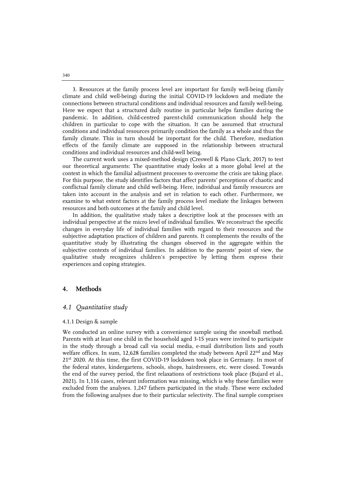3. Resources at the family process level are important for family well-being (family climate and child well-being) during the initial COVID-19 lockdown and mediate the connections between structural conditions and individual resources and family well-being. Here we expect that a structured daily routine in particular helps families during the pandemic. In addition, child-centred parent-child communication should help the children in particular to cope with the situation. It can be assumed that structural conditions and individual resources primarily condition the family as a whole and thus the family climate. This in turn should be important for the child. Therefore, mediation effects of the family climate are supposed in the relationship between structural conditions and individual resources and child-well being.

The current work uses a mixed-method design (Creswell & Plano Clark, 2017) to test our theoretical arguments: The quantitative study looks at a more global level at the context in which the familial adjustment processes to overcome the crisis are taking place. For this purpose, the study identifies factors that affect parents' perceptions of chaotic and conflictual family climate and child well-being. Here, individual and family resources are taken into account in the analysis and set in relation to each other. Furthermore, we examine to what extent factors at the family process level mediate the linkages between resources and both outcomes at the family and child level.

In addition, the qualitative study takes a descriptive look at the processes with an individual perspective at the micro level of individual families. We reconstruct the specific changes in everyday life of individual families with regard to their resources and the subjective adaptation practices of children and parents. It complements the results of the quantitative study by illustrating the changes observed in the aggregate within the subjective contexts of individual families. In addition to the parents' point of view, the qualitative study recognizes children's perspective by letting them express their experiences and coping strategies.

# **4. Methods**

#### *4.1 Quantitative study*

#### 4.1.1 Design & sample

We conducted an online survey with a convenience sample using the snowball method. Parents with at least one child in the household aged 3-15 years were invited to participate in the study through a broad call via social media, e-mail distribution lists and youth welfare offices. In sum, 12,628 families completed the study between April  $22<sup>nd</sup>$  and May 21st 2020. At this time, the first COVID-19 lockdown took place in Germany. In most of the federal states, kindergartens, schools, shops, hairdressers, etc. were closed. Towards the end of the survey period, the first relaxations of restrictions took place (Bujard et al., 2021). In 1,116 cases, relevant information was missing, which is why these families were excluded from the analyses. 1,247 fathers participated in the study. These were excluded from the following analyses due to their particular selectivity. The final sample comprises

340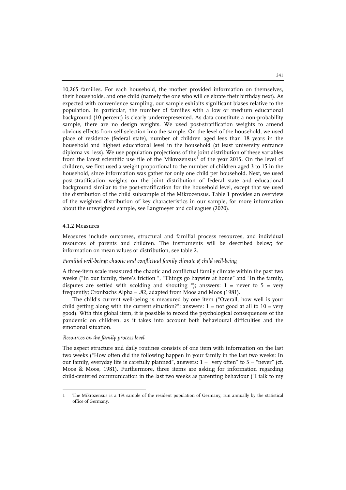10,265 families. For each household, the mother provided information on themselves, their households, and one child (namely the one who will celebrate their birthday next). As expected with convenience sampling, our sample exhibits significant biases relative to the population. In particular, the number of families with a low or medium educational background (10 percent) is clearly underrepresented. As data constitute a non-probability sample, there are no design weights. We used post-stratification weights to amend obvious effects from self-selection into the sample. On the level of the household, we used place of residence (federal state), number of children aged less than 18 years in the household and highest educational level in the household (at least university entrance diploma vs. less). We use population projections of the joint distribution of these variables from the latest scientific use file of the Mikrozensus<sup>[1](#page-8-0)</sup> of the year 2015. On the level of children, we first used a weight proportional to the number of children aged 3 to 15 in the household, since information was gather for only one child per household. Next, we used post-stratification weights on the joint distribution of federal state and educational background similar to the post-stratification for the household level, except that we used the distribution of the child subsample of the Mikrozensus. Table 1 provides an overview of the weighted distribution of key characteristics in our sample, for more information about the unweighted sample, see Langmeyer and colleagues (2020).

# 4.1.2 Measures

j

Measures include outcomes, structural and familial process resources, and individual resources of parents and children. The instruments will be described below; for information on mean values or distribution, see table 2.

#### *Familial well-being: chaotic and conflictual family climate & child well-being*

A three-item scale measured the chaotic and conflictual family climate within the past two weeks ("In our family, there's friction ", "Things go haywire at home" and "In the family, disputes are settled with scolding and shouting "); answers:  $1 =$  never to  $5 =$  very frequently; Cronbachs Alpha = .82, adapted from Moos and Moos (1981).

The child's current well-being is measured by one item ("Overall, how well is your child getting along with the current situation?"; answers:  $1 = not good at all to 10 = very$ good). With this global item, it is possible to record the psychological consequences of the pandemic on children, as it takes into account both behavioural difficulties and the emotional situation.

#### *Resources on the family process level*

The aspect structure and daily routines consists of one item with information on the last two weeks ("How often did the following happen in your family in the last two weeks: In our family, everyday life is carefully planned", answers:  $1 =$  "very often" to  $5 =$  "never" (cf. Moos & Moos, 1981). Furthermore, three items are asking for information regarding child-centered communication in the last two weeks as parenting behaviour ("I talk to my

<span id="page-8-0"></span><sup>1</sup> The Mikrozensus is a 1% sample of the resident population of Germany, run annually by the statistical office of Germany.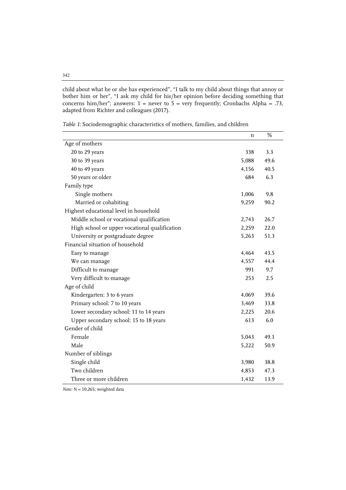child about what he or she has experienced", "I talk to my child about things that annoy or bother him or her", "I ask my child for his/her opinion before deciding something that concerns him/her"; answers:  $1$  = never to  $5$  = very frequently; Cronbachs Alpha = .73, adapted from Richter and colleagues (2017).

|                                               | n     | %    |
|-----------------------------------------------|-------|------|
| Age of mothers                                |       |      |
| 20 to 29 years                                | 338   | 3.3  |
| 30 to 39 years                                | 5,088 | 49.6 |
| 40 to 49 years                                | 4,156 | 40.5 |
| 50 years or older                             | 684   | 6.3  |
| Family type                                   |       |      |
| Single mothers                                | 1,006 | 9.8  |
| Married or cohabiting                         | 9,259 | 90.2 |
| Highest educational level in household        |       |      |
| Middle school or vocational qualification     | 2,743 | 26.7 |
| High school or upper vocational qualification | 2,259 | 22.0 |
| University or postgraduate degree             | 5,263 | 51.3 |
| Financial situation of household              |       |      |
| Easy to manage                                | 4,464 | 43.5 |
| We can manage                                 | 4,557 | 44.4 |
| Difficult to manage                           | 991   | 9.7  |
| Very difficult to manage                      | 253   | 2.5  |
| Age of child                                  |       |      |
| Kindergarten: 3 to 6 years                    | 4,069 | 39.6 |
| Primary school: 7 to 10 years                 | 3,469 | 33.8 |
| Lower secondary school: 11 to 14 years        | 2,225 | 20.6 |
| Upper secondary school: 15 to 18 years        | 613   | 6.0  |
| Gender of child                               |       |      |
| Female                                        | 5,043 | 49.1 |
| Male                                          | 5,222 | 50.9 |
| Number of siblings                            |       |      |
| Single child                                  | 3,980 | 38.8 |
| Two children                                  | 4,853 | 47.3 |
| Three or more children                        | 1,432 | 13.9 |

*Table 1*: Sociodemographic characteristics of mothers, families, and children

*Note:* N = 10,265; weighted data

# 342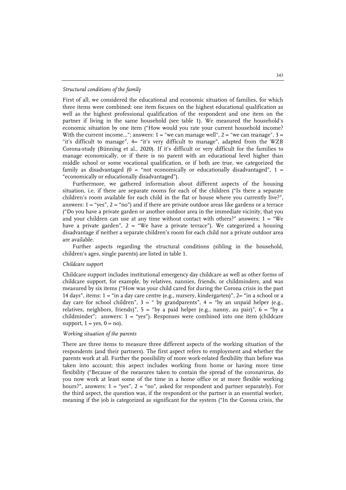#### *Structural conditions of the family*

First of all, we considered the educational and economic situation of families, for which three items were combined: one item focuses on the highest educational qualification as well as the highest professional qualification of the respondent and one item on the partner if living in the same household (see table 1). We measured the household's economic situation by one item ("How would you rate your current household income? With the current income..."; answers:  $1 =$  "we can manage well",  $2 =$  "we can manage",  $3 =$ "it's difficult to manage", 4= "it's very difficult to manage", adapted from the WZB Corona-study (Bünning et al., 2020). If it's difficult or very difficult for the families to manage economically, or if there is no parent with an educational level higher than middle school or some vocational qualification, or if both are true, we categorized the family as disadvantaged (0 = "not economically or educationally disadvantaged", 1 = "economically or educationally disadvantaged").

Furthermore, we gathered information about different aspects of the housing situation, i.e. if there are separate rooms for each of the children ("Is there a separate children's room available for each child in the flat or house where you currently live?", answers:  $1 =$  "yes",  $2 =$  "no") and if there are private outdoor areas like gardens or a terrace ("Do you have a private garden or another outdoor area in the immediate vicinity, that you and your children can use at any time without contact with others?" answers:  $1 = "We$ have a private garden",  $2 =$  "We have a private terrace"). We categorized a housing disadvantage if neither a separate children's room for each child nor a private outdoor area are available.

Further aspects regarding the structural conditions (sibling in the household, children's ages, single parents) are listed in table 1.

#### *Childcare support*

Childcare support includes institutional emergency day childcare as well as other forms of childcare support, for example, by relatives, nannies, friends, or childminders, and was measured by six items ("How was your child cared for during the Corona crisis in the past 14 days", items: 1 = "in a day care centre (e.g., nursery, kindergarten)", 2= "in a school or a day care for school children",  $3 = 4$  by grandparents",  $4 = 4$  by an unpaid helper (e.g., relatives, neighbors, friends)",  $5 =$  "by a paid helper (e.g., nanny, au pair)",  $6 =$  "by a childminder"; answers: 1 = "yes"). Responses were combined into one item (childcare support,  $1 = yes$ ,  $0 = no$ ).

#### *Working situation of the parents*

There are three items to measure three different aspects of the working situation of the respondents (and their partners). The first aspect refers to employment and whether the parents work at all. Further the possibility of more work-related flexibility than before was taken into account; this aspect includes working from home or having more time flexibility ("Because of the measures taken to contain the spread of the coronavirus, do you now work at least some of the time in a home office or at more flexible working hours?", answers:  $1 =$  "yes",  $2 =$  "no", asked for respondent and partner separately). For the third aspect, the question was, if the respondent or the partner is an essential worker, meaning if the job is categorized as significant for the system ("In the Corona crisis, the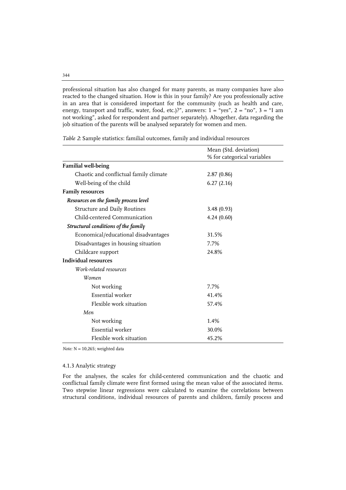professional situation has also changed for many parents, as many companies have also reacted to the changed situation. How is this in your family? Are you professionally active in an area that is considered important for the community (such as health and care, energy, transport and traffic, water, food, etc.)?", answers:  $1 =$  "yes",  $2 =$  "no",  $3 =$  "I am not working", asked for respondent and partner separately). Altogether, data regarding the job situation of the parents will be analysed separately for women and men.

|                                        | Mean (Std. deviation)<br>% for categorical variables |  |  |
|----------------------------------------|------------------------------------------------------|--|--|
| <b>Familial well-being</b>             |                                                      |  |  |
| Chaotic and conflictual family climate | 2.87(0.86)                                           |  |  |
| Well-being of the child                | 6.27(2.16)                                           |  |  |
| <b>Family resources</b>                |                                                      |  |  |
| Resources on the family process level  |                                                      |  |  |
| Structure and Daily Routines           | 3.48(0.93)                                           |  |  |
| Child-centered Communication           | 4.24(0.60)                                           |  |  |
| Structural conditions of the family    |                                                      |  |  |
| Economical/educational disadvantages   | 31.5%                                                |  |  |
| Disadvantages in housing situation     | 7.7%                                                 |  |  |
| Childcare support                      | 24.8%                                                |  |  |
| <b>Individual resources</b>            |                                                      |  |  |
| Work-related resources                 |                                                      |  |  |
| Women                                  |                                                      |  |  |
| Not working                            | 7.7%                                                 |  |  |
| Essential worker                       | 41.4%                                                |  |  |
| Flexible work situation                | 57.4%                                                |  |  |
| Men                                    |                                                      |  |  |
| Not working                            | 1.4%                                                 |  |  |
| Essential worker                       | 30.0%                                                |  |  |
| Flexible work situation                | 45.2%                                                |  |  |

*Table 2*: Sample statistics: familial outcomes, family and individual resources

*Note:* N = 10,265; weighted data

#### 4.1.3 Analytic strategy

For the analyses, the scales for child-centered communication and the chaotic and conflictual family climate were first formed using the mean value of the associated items. Two stepwise linear regressions were calculated to examine the correlations between structural conditions, individual resources of parents and children, family process and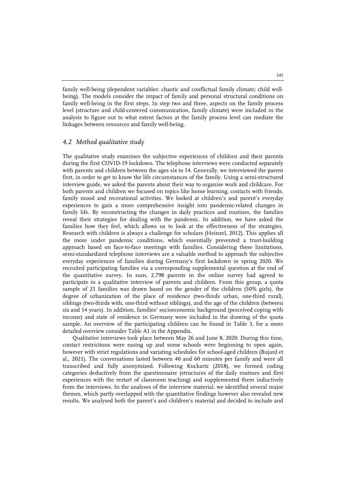family well-being (dependent variables: chaotic and conflictual family climate; child wellbeing). The models consider the impact of family and personal structural conditions on family well-being in the first steps. In step two and three, aspects on the family process level (structure and child-centered communication, family climate) were included in the analysis to figure out to what extent factors at the family process level can mediate the linkages between resources and family well-being.

# *4.2 Method qualitative study*

The qualitative study examines the subjective experiences of children and their parents during the first COVID-19 lockdown. The telephone interviews were conducted separately with parents and children between the ages six to 14. Generally, we interviewed the parent first, in order to get to know the life circumstances of the family. Using a semi-structured interview guide, we asked the parents about their way to organise work and childcare. For both parents and children we focused on topics like home learning, contacts with friends, family mood and recreational activities. We looked at children's and parent's everyday experiences to gain a more comprehensive insight into pandemic-related changes in family life. By reconstructing the changes in daily practices and routines, the families reveal their strategies for dealing with the pandemic. In addition, we have asked the families how they feel, which allows us to look at the effectiveness of the strategies. Research with children is always a challenge for scholars (Heinzel, 2012). This applies all the more under pandemic conditions, which essentially prevented a trust-building approach based on face-to-face meetings with families. Considering these limitations, semi-standardized telephone interviews are a valuable method to approach the subjective everyday experiences of families during Germany's first lockdown in spring 2020. We recruited participating families via a corresponding supplemental question at the end of the quantitative survey. In sum, 2,798 parents in the online survey had agreed to participate in a qualitative interview of parents and children. From this group, a quota sample of 21 families was drawn based on the gender of the children (50% girls), the degree of urbanization of the place of residence (two-thirds urban, one-third rural), siblings (two-thirds with, one-third without siblings), and the age of the children (between six and 14 years). In addition, families' socioeconomic background (perceived coping with income) and state of residence in Germany were included in the drawing of the quota sample. An overview of the participating children can be found in Table 3, for a more detailed overview consider Table A1 in the Appendix.

Qualitative interviews took place between May 26 and June 8, 2020. During this time, contact restrictions were easing up and some schools were beginning to open again, however with strict regulations and variating schedules for school-aged children (Bujard et al., 2021). The conversations lasted between 40 and 60 minutes per family and were all transcribed and fully anonymized. Following Kuckartz (2018), we formed coding categories deductively from the questionnaire (structures of the daily routines and first experiences with the restart of classroom teaching) and supplemented them inductively from the interviews. In the analyses of the interview material, we identified several major themes, which partly overlapped with the quantitative findings however also revealed new results. We analysed both the parent's and children's material and decided to include and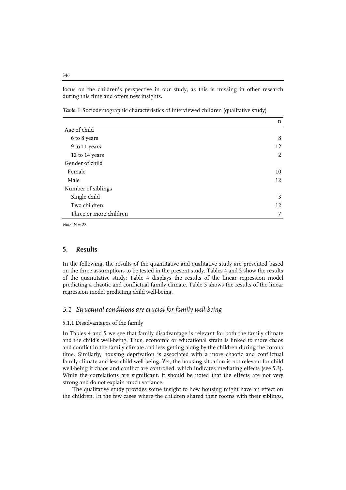focus on the children's perspective in our study, as this is missing in other research during this time and offers new insights.

*Table 3* Sociodemographic characteristics of interviewed children (qualitative study)

|                        | n  |
|------------------------|----|
| Age of child           |    |
| 6 to 8 years           | 8  |
| 9 to 11 years          | 12 |
| 12 to 14 years         | 2  |
| Gender of child        |    |
| Female                 | 10 |
| Male                   | 12 |
| Number of siblings     |    |
| Single child           | 3  |
| Two children           | 12 |
| Three or more children | 7  |

 $Note: N = 22$ 

# **5. Results**

In the following, the results of the quantitative and qualitative study are presented based on the three assumptions to be tested in the present study. Tables 4 and 5 show the results of the quantitative study: Table 4 displays the results of the linear regression model predicting a chaotic and conflictual family climate. Table 5 shows the results of the linear regression model predicting child well-being.

# *5.1 Structural conditions are crucial for family well-being*

#### 5.1.1 Disadvantages of the family

In Tables 4 and 5 we see that family disadvantage is relevant for both the family climate and the child's well-being. Thus, economic or educational strain is linked to more chaos and conflict in the family climate and less getting along by the children during the corona time. Similarly, housing deprivation is associated with a more chaotic and conflictual family climate and less child well-being. Yet, the housing situation is not relevant for child well-being if chaos and conflict are controlled, which indicates mediating effects (see 5.3). While the correlations are significant, it should be noted that the effects are not very strong and do not explain much variance.

The qualitative study provides some insight to how housing might have an effect on the children. In the few cases where the children shared their rooms with their siblings,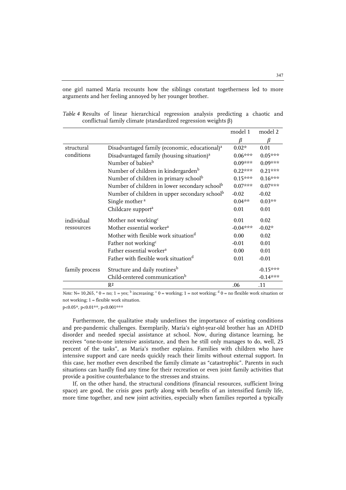one girl named Maria recounts how the siblings constant togetherness led to more arguments and her feeling annoyed by her younger brother.

|                |                                                           | model 1    | model 2    |
|----------------|-----------------------------------------------------------|------------|------------|
|                |                                                           | β          | β          |
| structural     | Disadvantaged family (economic, educational) <sup>a</sup> | $0.02*$    | 0.01       |
| conditions     | Disadvantaged family (housing situation) <sup>a</sup>     | $0.06***$  | $0.05***$  |
|                | Number of babies <sup>b</sup>                             | $0.09***$  | $0.09***$  |
|                | Number of children in kindergarden <sup>b</sup>           | $0.22***$  | $0.21***$  |
|                | Number of children in primary school <sup>b</sup>         | $0.15***$  | $0.16***$  |
|                | Number of children in lower secondary school <sup>b</sup> | $0.07***$  | $0.07***$  |
|                | Number of children in upper secondary school <sup>b</sup> | $-0.02$    | $-0.02$    |
|                | Single mother <sup>a</sup>                                | $0.04**$   | $0.03**$   |
|                | Childcare support <sup>a</sup>                            | 0.01       | 0.01       |
| individual     | Mother not working <sup>c</sup>                           | 0.01       | 0.02       |
| ressources     | Mother essential worker <sup>a</sup>                      | $-0.04***$ | $-0.02*$   |
|                | Mother with flexible work situation <sup>d</sup>          | 0.00       | 0.02       |
|                | Father not working <sup>c</sup>                           | $-0.01$    | 0.01       |
|                | Father essential worker <sup>a</sup>                      | 0.00       | 0.01       |
|                | Father with flexible work situation <sup>d</sup>          | 0.01       | $-0.01$    |
| family process | Structure and daily routines <sup>b</sup>                 |            | $-0.15***$ |
|                | Child-centered communication <sup>b</sup>                 |            | $-0.14***$ |
|                | R <sup>2</sup>                                            | .06        | .11        |

*Table 4* Results of linear hierarchical regression analysis predicting a chaotic and conflictual family climate (standardized regression weights β)

*Note*:  $N= 10,265$ ,  $\alpha = \text{no}$ ;  $1 = \text{yes}$ ;  $\beta$  increasing;  $\beta = \text{working}$ ;  $1 = \text{not working}$ ;  $\alpha = \text{no}$  flexible work situation or not working; 1 = flexible work situation.

p<0.05\*, p<0.01\*\*, p<0.001\*\*\*

Furthermore, the qualitative study underlines the importance of existing conditions and pre-pandemic challenges. Exemplarily, Maria's eight-year-old brother has an ADHD disorder and needed special assistance at school. Now, during distance learning, he receives "one-to-one intensive assistance, and then he still only manages to do, well, 25 percent of the tasks", as Maria's mother explains. Families with children who have intensive support and care needs quickly reach their limits without external support. In this case, her mother even described the family climate as "catastrophic". Parents in such situations can hardly find any time for their recreation or even joint family activities that provide a positive counterbalance to the stresses and strains.

If, on the other hand, the structural conditions (financial resources, sufficient living space) are good, the crisis goes partly along with benefits of an intensified family life, more time together, and new joint activities, especially when families reported a typically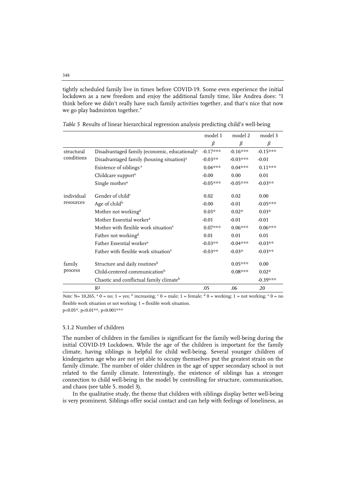tightly scheduled family live in times before COVID-19. Some even experience the initial lockdown as a new freedom and enjoy the additional family time, like Andrea does: "I think before we didn't really have such family activities together, and that's nice that now we go play badminton together."

|            |                                                           | model 1    | model 2    | model 3    |
|------------|-----------------------------------------------------------|------------|------------|------------|
|            |                                                           | $\beta$    | β          | $\beta$    |
| structural | Disadvantaged family (economic, educational) <sup>a</sup> | $-0.17***$ | $-0.16***$ | $-0.15***$ |
| conditions | Disadvantaged family (housing situation) <sup>a</sup>     | $-0.03**$  | $-0.03***$ | $-0.01$    |
|            | Existence of siblings <sup>a</sup>                        | $0.04***$  | $0.04***$  | $0.11***$  |
|            | Childcare support <sup>a</sup>                            | $-0.00$    | 0.00       | 0.01       |
|            | Single mother <sup>a</sup>                                | $-0.05***$ | $-0.05***$ | $-0.03**$  |
| individual | Gender of child <sup>c</sup>                              | 0.02       | 0.02       | 0.00       |
| resources  | Age of child <sup>b</sup>                                 | $-0.00$    | $-0.01$    | $-0.05***$ |
|            | Mother not working <sup>d</sup>                           | $0.03*$    | $0.02*$    | $0.03*$    |
|            | Mother Essential worker <sup>a</sup>                      | $-0.01$    | $-0.01$    | $-0.01$    |
|            | Mother with flexible work situation <sup>e</sup>          | $0.07***$  | $0.06***$  | $0.06***$  |
|            | Father not working <sup>d</sup>                           | 0.01       | 0.01       | 0.01       |
|            | Father Essential worker <sup>a</sup>                      | $-0.03**$  | $-0.04***$ | $-0.03**$  |
|            | Father with flexible work situation <sup>e</sup>          | $-0.03**$  | $-0.03*$   | $-0.03**$  |
| family     | Structure and daily routines <sup>b</sup>                 |            | $0.05***$  | 0.00       |
| process    | Child-centered communication <sup>b</sup>                 |            | $0.08***$  | $0.02*$    |
|            | Chaotic and conflictual family climate <sup>b</sup>       |            |            | $-0.39***$ |
|            | R <sup>2</sup>                                            | .05        | .06        | .20        |

*Table 5* Results of linear hierarchical regression analysis predicting child's well-being

*Note:*  $N= 10,265$ ,  $a = no$ ;  $1 = yes$ ;  $b$  increasing;  $c = male$ ;  $1 = female$ ;  $d = working$ ;  $1 = not working$ ;  $e = no$ flexible work situation or not working; 1 = flexible work situation. p<0.05\*, p<0.01\*\*, p<0.001\*\*\*

#### 5.1.2 Number of children

The number of children in the families is significant for the family well-being during the initial COVID-19 Lockdown. While the age of the children is important for the family climate, having siblings is helpful for child well-being. Several younger children of kindergarten age who are not yet able to occupy themselves put the greatest strain on the family climate. The number of older children in the age of upper secondary school is not related to the family climate. Interestingly, the existence of siblings has a stronger connection to child well-being in the model by controlling for structure, communication, and chaos (see table 5, model 3).

In the qualitative study, the theme that children with siblings display better well-being is very prominent. Siblings offer social contact and can help with feelings of loneliness, as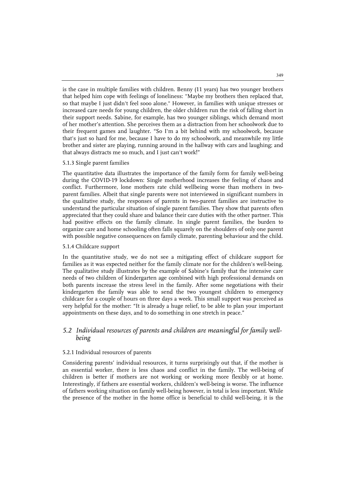is the case in multiple families with children. Benny (11 years) has two younger brothers that helped him cope with feelings of loneliness: "Maybe my brothers then replaced that, so that maybe I just didn't feel sooo alone." However, in families with unique stresses or increased care needs for young children, the older children run the risk of falling short in their support needs. Sabine, for example, has two younger siblings, which demand most of her mother's attention. She perceives them as a distraction from her schoolwork due to their frequent games and laughter. "So I'm a bit behind with my schoolwork, because that's just so hard for me, because I have to do my schoolwork, and meanwhile my little brother and sister are playing, running around in the hallway with cars and laughing; and that always distracts me so much, and I just can't work!"

#### 5.1.3 Single parent families

The quantitative data illustrates the importance of the family form for family well-being during the COVID-19 lockdown: Single motherhood increases the feeling of chaos and conflict. Furthermore, lone mothers rate child wellbeing worse than mothers in twoparent families. Albeit that single parents were not interviewed in significant numbers in the qualitative study, the responses of parents in two-parent families are instructive to understand the particular situation of single parent families. They show that parents often appreciated that they could share and balance their care duties with the other partner. This had positive effects on the family climate. In single parent families, the burden to organize care and home schooling often falls squarely on the shoulders of only one parent with possible negative consequences on family climate, parenting behaviour and the child.

# 5.1.4 Childcare support

In the quantitative study, we do not see a mitigating effect of childcare support for families as it was expected neither for the family climate nor for the children's well-being. The qualitative study illustrates by the example of Sabine's family that the intensive care needs of two children of kindergarten age combined with high professional demands on both parents increase the stress level in the family. After some negotiations with their kindergarten the family was able to send the two youngest children to emergency childcare for a couple of hours on three days a week. This small support was perceived as very helpful for the mother: "It is already a huge relief, to be able to plan your important appointments on these days, and to do something in one stretch in peace."

# *5.2 Individual resources of parents and children are meaningful for family wellbeing*

#### 5.2.1 Individual resources of parents

Considering parents' individual resources, it turns surprisingly out that, if the mother is an essential worker, there is less chaos and conflict in the family. The well-being of children is better if mothers are not working or working more flexibly or at home. Interestingly, if fathers are essential workers, children's well-being is worse. The influence of fathers working situation on family well-being however, in total is less important. While the presence of the mother in the home office is beneficial to child well-being, it is the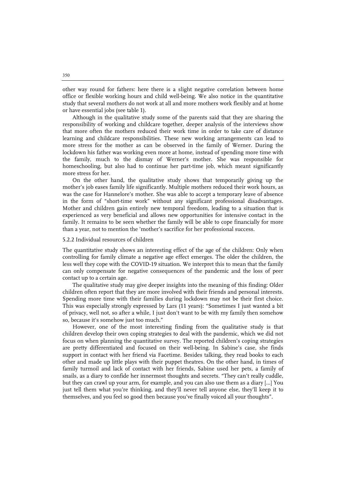other way round for fathers: here there is a slight negative correlation between home office or flexible working hours and child well-being. We also notice in the quantitative study that several mothers do not work at all and more mothers work flexibly and at home or have essential jobs (see table 1).

Although in the qualitative study some of the parents said that they are sharing the responsibility of working and childcare together, deeper analysis of the interviews show that more often the mothers reduced their work time in order to take care of distance learning and childcare responsibilities. These new working arrangements can lead to more stress for the mother as can be observed in the family of Werner. During the lockdown his father was working even more at home, instead of spending more time with the family, much to the dismay of Werner's mother. She was responsible for homeschooling, but also had to continue her part-time job, which meant significantly more stress for her.

On the other hand, the qualitative study shows that temporarily giving up the mother's job eases family life significantly. Multiple mothers reduced their work hours, as was the case for Hannelore's mother. She was able to accept a temporary leave of absence in the form of "short-time work" without any significant professional disadvantages. Mother and children gain entirely new temporal freedom, leading to a situation that is experienced as very beneficial and allows new opportunities for intensive contact in the family. It remains to be seen whether the family will be able to cope financially for more than a year, not to mention the 'mother's sacrifice for her professional success.

#### 5.2.2 Individual resources of children

The quantitative study shows an interesting effect of the age of the children: Only when controlling for family climate a negative age effect emerges. The older the children, the less well they cope with the COVID-19 situation. We interpret this to mean that the family can only compensate for negative consequences of the pandemic and the loss of peer contact up to a certain age.

The qualitative study may give deeper insights into the meaning of this finding: Older children often report that they are more involved with their friends and personal interests. Spending more time with their families during lockdown may not be their first choice. This was especially strongly expressed by Lars (11 years): "Sometimes I just wanted a bit of privacy, well not, so after a while, I just don't want to be with my family then somehow so, because it's somehow just too much."

However, one of the most interesting finding from the qualitative study is that children develop their own coping strategies to deal with the pandemic, which we did not focus on when planning the quantitative survey. The reported children's coping strategies are pretty differentiated and focused on their well-being. In Sabine's case, she finds support in contact with her friend via Facetime. Besides talking, they read books to each other and made up little plays with their puppet theatres. On the other hand, in times of family turmoil and lack of contact with her friends, Sabine used her pets, a family of snails, as a diary to confide her innermost thoughts and secrets. "They can't really cuddle, but they can crawl up your arm, for example, and you can also use them as a diary [...] You just tell them what you're thinking, and they'll never tell anyone else, they'll keep it to themselves, and you feel so good then because you've finally voiced all your thoughts".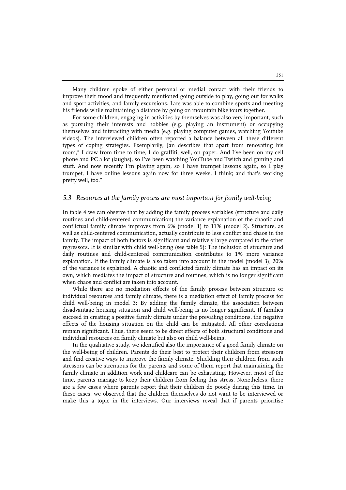Many children spoke of either personal or medial contact with their friends to improve their mood and frequently mentioned going outside to play, going out for walks and sport activities, and family excursions. Lars was able to combine sports and meeting his friends while maintaining a distance by going on mountain bike tours together.

For some children, engaging in activities by themselves was also very important, such as pursuing their interests and hobbies (e.g. playing an instrument) or occupying themselves and interacting with media (e.g. playing computer games, watching Youtube videos). The interviewed children often reported a balance between all these different types of coping strategies. Exemplarily, Jan describes that apart from renovating his room," I draw from time to time, I do graffiti, well, on paper. And I've been on my cell phone and PC a lot (laughs), so I've been watching YouTube and Twitch and gaming and stuff. And now recently I'm playing again, so I have trumpet lessons again, so I play trumpet, I have online lessons again now for three weeks, I think; and that's working pretty well, too."

# *5.3 Resources at the family process are most important for family well-being*

In table 4 we can observe that by adding the family process variables (structure and daily routines and child-centered communication) the variance explanation of the chaotic and conflictual family climate improves from 6% (model 1) to 11% (model 2). Structure, as well as child-centered communication, actually contribute to less conflict and chaos in the family. The impact of both factors is significant and relatively large compared to the other regressors. It is similar with child well-being (see table 5): The inclusion of structure and daily routines and child-centered communication contributes to 1% more variance explanation. If the family climate is also taken into account in the model (model 3), 20% of the variance is explained. A chaotic and conflicted family climate has an impact on its own, which mediates the impact of structure and routines, which is no longer significant when chaos and conflict are taken into account.

While there are no mediation effects of the family process between structure or individual resources and family climate, there is a mediation effect of family process for child well-being in model 3: By adding the family climate, the association between disadvantage housing situation and child well-being is no longer significant. If families succeed in creating a positive family climate under the prevailing conditions, the negative effects of the housing situation on the child can be mitigated. All other correlations remain significant. Thus, there seem to be direct effects of both structural conditions and individual resources on family climate but also on child well-being.

In the qualitative study, we identified also the importance of a good family climate on the well-being of children. Parents do their best to protect their children from stressors and find creative ways to improve the family climate. Shielding their children from such stressors can be strenuous for the parents and some of them report that maintaining the family climate in addition work and childcare can be exhausting. However, most of the time, parents manage to keep their children from feeling this stress. Nonetheless, there are a few cases where parents report that their children do poorly during this time. In these cases, we observed that the children themselves do not want to be interviewed or make this a topic in the interviews. Our interviews reveal that if parents prioritise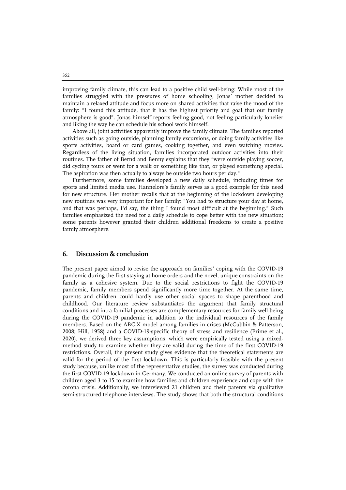improving family climate, this can lead to a positive child well-being: While most of the families struggled with the pressures of home schooling, Jonas' mother decided to maintain a relaxed attitude and focus more on shared activities that raise the mood of the family: "I found this attitude, that it has the highest priority and goal that our family atmosphere is good". Jonas himself reports feeling good, not feeling particularly lonelier and liking the way he can schedule his school work himself.

Above all, joint activities apparently improve the family climate. The families reported activities such as going outside, planning family excursions, or doing family activities like sports activities, board or card games, cooking together, and even watching movies. Regardless of the living situation, families incorporated outdoor activities into their routines. The father of Bernd and Benny explains that they "were outside playing soccer, did cycling tours or went for a walk or something like that, or played something special. The aspiration was then actually to always be outside two hours per day."

Furthermore, some families developed a new daily schedule, including times for sports and limited media use. Hannelore's family serves as a good example for this need for new structure. Her mother recalls that at the beginning of the lockdown developing new routines was very important for her family: "You had to structure your day at home, and that was perhaps, I'd say, the thing I found most difficult at the beginning." Such families emphasized the need for a daily schedule to cope better with the new situation; some parents however granted their children additional freedoms to create a positive family atmosphere.

# **6. Discussion & conclusion**

The present paper aimed to revise the approach on families' coping with the COVID-19 pandemic during the first staying at home orders and the novel, unique constraints on the family as a cohesive system. Due to the social restrictions to fight the COVID-19 pandemic, family members spend significantly more time together. At the same time, parents and children could hardly use other social spaces to shape parenthood and childhood. Our literature review substantiates the argument that family structural conditions and intra-familial processes are complementary resources for family well-being during the COVID-19 pandemic in addition to the individual resources of the family members. Based on the ABC-X model among families in crises (McCubbin & Patterson, 2008; Hill, 1958) and a COVID-19-specific theory of stress and resilience (Prime et al., 2020), we derived three key assumptions, which were empirically tested using a mixedmethod study to examine whether they are valid during the time of the first COVID-19 restrictions. Overall, the present study gives evidence that the theoretical statements are valid for the period of the first lockdown. This is particularly feasible with the present study because, unlike most of the representative studies, the survey was conducted during the first COVID-19 lockdown in Germany. We conducted an online survey of parents with children aged 3 to 15 to examine how families and children experience and cope with the corona crisis. Additionally, we interviewed 21 children and their parents via qualitative semi-structured telephone interviews. The study shows that both the structural conditions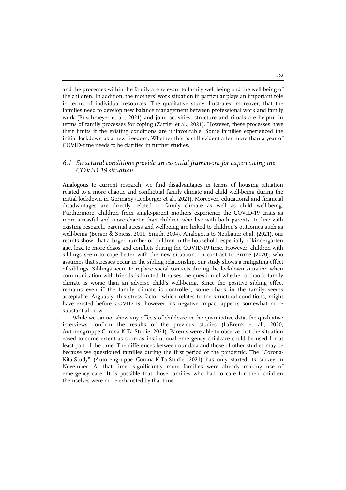and the processes within the family are relevant to family well-being and the well-being of the children. In addition, the mothers' work situation in particular plays an important role in terms of individual resources. The qualitative study illustrates, moreover, that the families need to develop new balance management between professional work and family work (Buschmeyer et al., 2021) and joint activities, structure and rituals are helpful in terms of family processes for coping (Zartler et al., 2021). However, these processes have their limits if the existing conditions are unfavourable. Some families experienced the initial lockdown as a new freedom. Whether this is still evident after more than a year of COVID-time needs to be clarified in further studies.

# *6.1 Structural conditions provide an essential framework for experiencing the COVID-19 situation*

Analogous to current research, we find disadvantages in terms of housing situation related to a more chaotic and conflictual family climate and child well-being during the initial lockdown in Germany (Lehberger et al., 2021). Moreover, educational and financial disadvantages are directly related to family climate as well as child well-being. Furthermore, children from single-parent mothers experience the COVID-19 crisis as more stressful and more chaotic than children who live with both parents. In line with existing research, parental stress and wellbeing are linked to children's outcomes such as well-being (Berger & Spiess, 2011; Smith, 2004). Analogous to Neubauer et al. (2021), our results show, that a larger number of children in the household, especially of kindergarten age, lead to more chaos and conflicts during the COVID-19 time. However, children with siblings seem to cope better with the new situation. In contrast to Prime (2020), who assumes that stresses occur in the sibling relationship, our study shows a mitigating effect of siblings. Siblings seem to replace social contacts during the lockdown situation when communication with friends is limited. It raises the question of whether a chaotic family climate is worse than an adverse child's well-being. Since the positive sibling effect remains even if the family climate is controlled, some chaos in the family seems acceptable. Arguably, this stress factor, which relates to the structural conditions, might have existed before COVID-19; however, its negative impact appears somewhat more substantial, now.

While we cannot show any effects of childcare in the quantitative data, the qualitative interviews confirm the results of the previous studies (LaBrenz et al., 2020; Autorengruppe Corona-KiTa-Studie, 2021). Parents were able to observe that the situation eased to some extent as soon as institutional emergency childcare could be used for at least part of the time. The differences between our data and those of other studies may be because we questioned families during the first period of the pandemic. The "Corona-Kita-Study" (Autorengruppe Corona-KiTa-Studie, 2021) has only started its survey in November. At that time, significantly more families were already making use of emergency care. It is possible that those families who had to care for their children themselves were more exhausted by that time.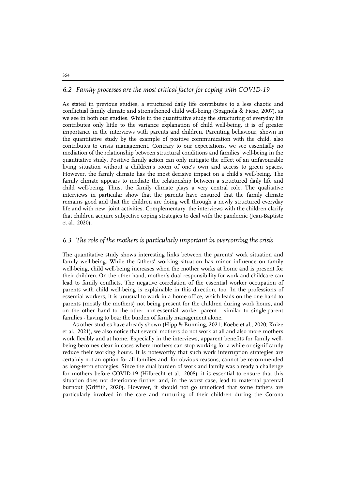# *6.2 Family processes are the most critical factor for coping with COVID-19*

As stated in previous studies, a structured daily life contributes to a less chaotic and conflictual family climate and strengthened child well-being (Spagnola & Fiese, 2007), as we see in both our studies. While in the quantitative study the structuring of everyday life contributes only little to the variance explanation of child well-being, it is of greater importance in the interviews with parents and children. Parenting behaviour, shown in the quantitative study by the example of positive communication with the child, also contributes to crisis management. Contrary to our expectations, we see essentially no mediation of the relationship between structural conditions and families' well-being in the quantitative study. Positive family action can only mitigate the effect of an unfavourable living situation without a children's room of one's own and access to green spaces. However, the family climate has the most decisive impact on a child's well-being. The family climate appears to mediate the relationship between a structured daily life and child well-being. Thus, the family climate plays a very central role. The qualitative interviews in particular show that the parents have ensured that the family climate remains good and that the children are doing well through a newly structured everyday life and with new, joint activities. Complementary, the interviews with the children clarify that children acquire subjective coping strategies to deal with the pandemic (Jean-Baptiste et al., 2020).

# *6.3 The role of the mothers is particularly important in overcoming the crisis*

The quantitative study shows interesting links between the parents' work situation and family well-being. While the fathers' working situation has minor influence on family well-being, child well-being increases when the mother works at home and is present for their children. On the other hand, mother's dual responsibility for work and childcare can lead to family conflicts. The negative correlation of the essential worker occupation of parents with child well-being is explainable in this direction, too. In the professions of essential workers, it is unusual to work in a home office, which leads on the one hand to parents (mostly the mothers) not being present for the children during work hours, and on the other hand to the other non-essential worker parent - similar to single-parent families - having to bear the burden of family management alone.

As other studies have already shown (Hipp & Bünning, 2021; Koebe et al., 2020; Knize et al., 2021), we also notice that several mothers do not work at all and also more mothers work flexibly and at home. Especially in the interviews, apparent benefits for family wellbeing becomes clear in cases where mothers can stop working for a while or significantly reduce their working hours. It is noteworthy that such work interruption strategies are certainly not an option for all families and, for obvious reasons, cannot be recommended as long-term strategies. Since the dual burden of work and family was already a challenge for mothers before COVID-19 (Hilbrecht et al., 2008), it is essential to ensure that this situation does not deteriorate further and, in the worst case, lead to maternal parental burnout (Griffith, 2020). However, it should not go unnoticed that some fathers are particularly involved in the care and nurturing of their children during the Corona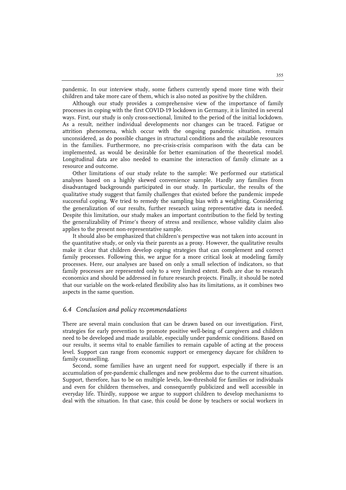pandemic. In our interview study, some fathers currently spend more time with their children and take more care of them, which is also noted as positive by the children.

Although our study provides a comprehensive view of the importance of family processes in coping with the first COVID-19 lockdown in Germany, it is limited in several ways. First, our study is only cross-sectional, limited to the period of the initial lockdown. As a result, neither individual developments nor changes can be traced. Fatigue or attrition phenomena, which occur with the ongoing pandemic situation, remain unconsidered, as do possible changes in structural conditions and the available resources in the families. Furthermore, no pre-crisis-crisis comparison with the data can be implemented, as would be desirable for better examination of the theoretical model. Longitudinal data are also needed to examine the interaction of family climate as a resource and outcome.

Other limitations of our study relate to the sample: We performed our statistical analyses based on a highly skewed convenience sample. Hardly any families from disadvantaged backgrounds participated in our study. In particular, the results of the qualitative study suggest that family challenges that existed before the pandemic impede successful coping. We tried to remedy the sampling bias with a weighting. Considering the generalization of our results, further research using representative data is needed. Despite this limitation, our study makes an important contribution to the field by testing the generalizability of Prime's theory of stress and resilience, whose validity claim also applies to the present non-representative sample.

It should also be emphasized that children's perspective was not taken into account in the quantitative study, or only via their parents as a proxy. However, the qualitative results make it clear that children develop coping strategies that can complement and correct family processes. Following this, we argue for a more critical look at modeling family processes. Here, our analyses are based on only a small selection of indicators, so that family processes are represented only to a very limited extent. Both are due to research economics and should be addressed in future research projects. Finally, it should be noted that our variable on the work-related flexibility also has its limitations, as it combines two aspects in the same question.

#### *6.4 Conclusion and policy recommendations*

There are several main conclusion that can be drawn based on our investigation. First, strategies for early prevention to promote positive well-being of caregivers and children need to be developed and made available, especially under pandemic conditions. Based on our results, it seems vital to enable families to remain capable of acting at the process level. Support can range from economic support or emergency daycare for children to family counselling.

Second, some families have an urgent need for support, especially if there is an accumulation of pre-pandemic challenges and new problems due to the current situation. Support, therefore, has to be on multiple levels, low-threshold for families or individuals and even for children themselves, and consequently publicized and well accessible in everyday life. Thirdly, suppose we argue to support children to develop mechanisms to deal with the situation. In that case, this could be done by teachers or social workers in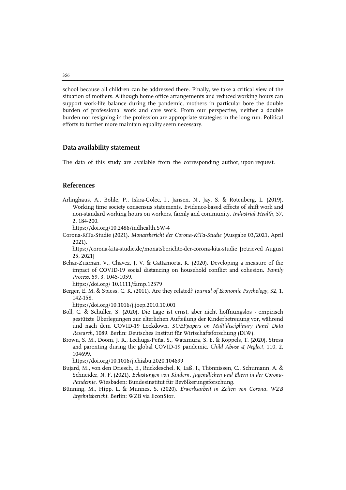school because all children can be addressed there. Finally, we take a critical view of the situation of mothers. Although home office arrangements and reduced working hours can support work-life balance during the pandemic, mothers in particular bore the double burden of professional work and care work. From our perspective, neither a double burden nor resigning in the profession are appropriate strategies in the long run. Political efforts to further more maintain equality seem necessary.

#### **Data availability statement**

The data of this study are available from the corresponding author, upon request.

# **References**

Arlinghaus, A., Bohle, P., Iskra-Golec, I., Jansen, N., Jay, S. & Rotenberg, L. (2019). Working time society consensus statements. Evidence-based effects of shift work and non-standard working hours on workers, family and community. *Industrial Health*, 57, 2, 184-200.

https://doi.org/10.2486/indhealth.SW-4

Corona-KiTa-Studie (2021). *Monatsbericht der Corona-KiTa-Studie* (Ausgabe 03/2021, April 2021).

https://corona-kita-studie.de/monatsberichte-der-corona-kita-studie [retrieved August 25, 2021]

Behar-Zusman, V., Chavez, J. V. & Gattamorta, K. (2020). Developing a measure of the impact of COVID-19 social distancing on household conflict and cohesion. *Family Process*, 59, 3, 1045-1059.

https://doi.org/ 10.1111/famp.12579

Berger, E. M. & Spiess, C. K. (2011). Are they related? *Journal of Economic Psychology*, 32, 1, 142-158.

https://doi.org/10.1016/j.joep.2010.10.001

- Boll, C. & Schüller, S. (2020). Die Lage ist ernst, aber nicht hoffnungslos empirisch gestützte Überlegungen zur elterlichen Aufteilung der Kinderbetreuung vor, während und nach dem COVID-19 Lockdown. *SOEPpapers on Multidisciplinary Panel Data Research*, 1089. Berlin: Deutsches Institut für Wirtschaftsforschung (DIW).
- Brown, S. M., Doom, J. R., Lechuga-Peña, S., Watamura, S. E. & Koppels, T. (2020). Stress and parenting during the global COVID-19 pandemic. *Child Abuse & Neglect*, 110, 2, 104699.

https://doi.org/10.1016/j.chiabu.2020.104699

- Bujard, M., von den Driesch, E., Ruckdeschel, K, Laß, I., Thönnissen, C., Schumann, A. & Schneider, N. F. (2021). *Belastungen von Kindern, Jugendlichen und Eltern in der Corona-Pandemie*. Wiesbaden: Bundesinstitut für Bevölkerungsforschung.
- Bünning, M., Hipp, L. & Munnes, S. (2020). *Erwerbsarbeit in Zeiten von Corona. WZB Ergebnisbericht*. Berlin: WZB via EconStor.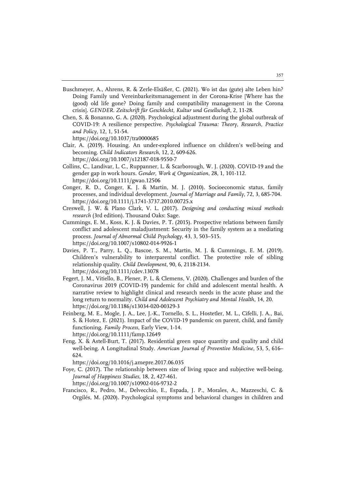- Buschmeyer, A., Ahrens, R. & Zerle-Elsäßer, C. (2021). Wo ist das (gute) alte Leben hin? Doing Family und Vereinbarkeitsmanagement in der Corona-Krise [Where has the (good) old life gone? Doing family and compatibility management in the Corona crisis]. *GENDER. Zeitschrift für Geschlecht, Kultur und Gesellschaft*, 2, 11-28.
- Chen, S. & Bonanno, G. A. (2020). Psychological adjustment during the global outbreak of COVID-19: A resilience perspective. *Psychological Trauma: Theory, Research, Practice and Policy*, 12, 1, 51-54.

https://doi.org/10.1037/tra0000685

- Clair, A. (2019). Housing. An under-explored influence on children's well-being and becoming. *Child Indicators Research*, 12, 2, 609-626. https://doi.org/10.1007/s12187-018-9550-7
- Collins, C., Landivar, L. C., Ruppanner, L. & Scarborough, W. J. (2020). COVID-19 and the gender gap in work hours. *Gender, Work & Organization*, 28, 1, 101-112. https://doi.org/10.1111/gwao.12506
- Conger, R. D., Conger, K. J. & Martin, M. J. (2010). Socioeconomic status, family processes, and individual development. *Journal of Marriage and Family*, 72, 3, 685-704. https://doi.org/10.1111/j.1741-3737.2010.00725.x
- Creswell, J. W. & Plano Clark, V. L. (2017). *Designing and conducting mixed methods research* (3rd edition). Thousand Oaks: Sage.
- Cummings, E. M., Koss, K. J. & Davies, P. T. (2015). Prospective relations between family conflict and adolescent maladjustment: Security in the family system as a mediating process. *Journal of Abnormal Child Psychology*, 43, 3, 503–515. https://doi.org/10.1007/s10802-014-9926-1
- Davies, P. T., Parry, L. Q., Bascoe, S. M., Martin, M. J. & Cummings, E. M. (2019). Children's vulnerability to interparental conflict. The protective role of sibling relationship quality. *Child Development*, 90, 6, 2118-2134. https://doi.org/10.1111/cdev.13078
- Fegert, J. M., Vitiello, B., Plener, P. L. & Clemens, V. (2020). Challenges and burden of the Coronavirus 2019 (COVID-19) pandemic for child and adolescent mental health. A narrative review to highlight clinical and research needs in the acute phase and the long return to normality. *Child and Adolescent Psychiatry and Mental Health*, 14, 20. https://doi.org/10.1186/s13034-020-00329-3
- Feinberg, M. E., Mogle, J. A., Lee, J.-K., Tornello, S. L., Hostetler, M. L., Cifelli, J. A., Bai, S. & Hotez, E. (2021). Impact of the COVID-19 pandemic on parent, child, and family functioning. *Family Process*, Early View, 1-14. https://doi.org/10.1111/famp.12649
- Feng, X. & Astell-Burt, T. (2017). Residential green space quantity and quality and child well-being. A Longitudinal Study. *American Journal of Preventive Medicine*, 53, 5, 616– 624.

https://doi.org/10.1016/j.amepre.2017.06.035

- Foye, C. (2017). The relationship between size of living space and subjective well-being. *Journal of Happiness Studies*, 18, 2, 427-461. https://doi.org/10.1007/s10902-016-9732-2
- Francisco, R., Pedro, M., Delvecchio, E., Espada, J. P., Morales, A., Mazzeschi, C. & Orgilés, M. (2020). Psychological symptoms and behavioral changes in children and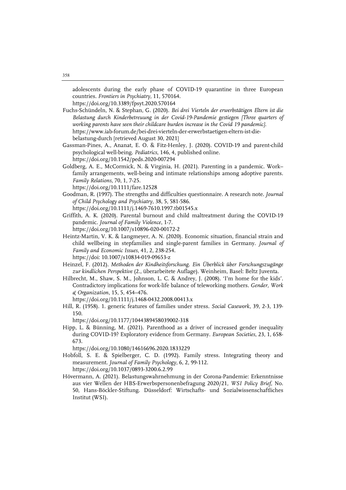adolescents during the early phase of COVID-19 quarantine in three European countries. *Frontiers in Psychiatry*, 11, 570164.

https://doi.org/10.3389/fpsyt.2020.570164

- Fuchs-Schündeln, N. & Stephan, G. (2020). *Bei drei Vierteln der erwerbstätigen Eltern ist die Belastung durch Kinderbetreuung in der Covid-19-Pandemie gestiegen [Three quarters of working parents have seen their childcare burden increase in the Covid 19 pandemic].* https://www.iab-forum.de/bei-drei-vierteln-der-erwerbstaetigen-eltern-ist-diebelastung-durch [retrieved August 30, 2021]
- Gassman-Pines, A., Ananat, E. O. & Fitz-Henley, J. (2020). COVID-19 and parent-child psychological well-being. *Pediatrics*, 146, 4, published online. https://doi.org/10.1542/peds.2020-007294
- Goldberg, A. E., McCormick, N. & Virginia, H. (2021). Parenting in a pandemic. Work– family arrangements, well‐being and intimate relationships among adoptive parents. *Family Relations*, 70, 1, 7-25.

https://doi.org/10.1111/fare.12528

- Goodman, R. (1997). The strengths and difficulties questionnaire. A research note. *Journal of Child Psychology and Psychiatry*, 38, 5, 581-586. https://doi.org/10.1111/j.1469-7610.1997.tb01545.x
- Griffith, A. K. (2020). Parental burnout and child maltreatment during the COVID-19 pandemic. *Journal of Family Violence*, 1-7. https://doi.org/10.1007/s10896-020-00172-2
- Heintz-Martin, V. K. & Langmeyer, A. N. (2020). Economic situation, financial strain and child wellbeing in stepfamilies and single-parent families in Germany. *Journal of Family and Economic Issues*, 41, 2, 238-254. https://doi: 10.1007/s10834-019-09653-z
- Heinzel, F. (2012). *Methoden der Kindheitsforschung. Ein Überblick über Forschungszugänge zur kindlichen Perspektive* (2., überarbeitete Auflage). Weinheim, Basel: Beltz Juventa.
- Hilbrecht, M., Shaw, S. M., Johnson, L. C. & Andrey, J. (2008). 'I'm home for the kids'. Contradictory implications for work-life balance of teleworking mothers. *Gender, Work & Organization*, 15, 5, 454–476.

https://doi.org/10.1111/j.1468-0432.2008.00413.x

- Hill, R. (1958). 1. generic features of families under stress. *Social Casework*, 39, 2-3, 139- 150.
	- https://doi.org/10.1177/1044389458039002-318
- Hipp, L. & Bünning, M. (2021). Parenthood as a driver of increased gender inequality during COVID-19? Exploratory evidence from Germany. *European Societies*, 23, 1, 658- 673.

https://doi.org/10.1080/14616696.2020.1833229

- Hobfoll, S. E. & Spielberger, C. D. (1992). Family stress. Integrating theory and measurement. *Journal of Family Psychology*, 6, 2, 99-112. https://doi.org/10.1037/0893-3200.6.2.99
- Hövermann, A. (2021). Belastungswahrnehmung in der Corona-Pandemie: Erkenntnisse aus vier Wellen der HBS-Erwerbspersonenbefragung 2020/21, *WSI Policy Brief*, No. 50, Hans-Böckler-Stiftung. Düsseldorf: Wirtschafts- und Sozialwissenschaftliches Institut (WSI).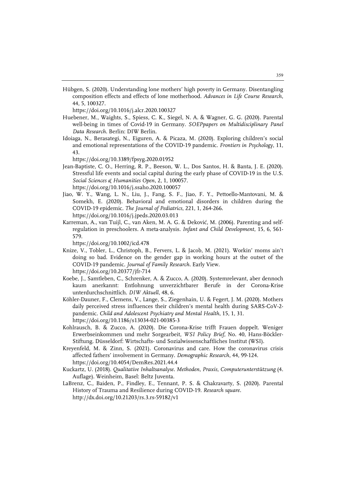Hübgen, S. (2020). Understanding lone mothers' high poverty in Germany. Disentangling composition effects and effects of lone motherhood. *Advances in Life Course Research*, 44, 5, 100327.

https://doi.org/10.1016/j.alcr.2020.100327

- Huebener, M., Waights, S., Spiess, C. K., Siegel, N. A. & Wagner, G. G. (2020). Parental well-being in times of Covid-19 in Germany. *SOEPpapers on Multidisciplinary Panel Data Research*. Berlin: DIW Berlin.
- Idoiaga, N., Berasategi, N., Eiguren, A. & Picaza, M. (2020). Exploring children's social and emotional representations of the COVID-19 pandemic. *Frontiers in Psychology*, 11, 43.

https://doi.org/10.3389/fpsyg.2020.01952

- Jean-Baptiste, C. O., Herring, R. P., Beeson, W. L., Dos Santos, H. & Banta, J. E. (2020). Stressful life events and social capital during the early phase of COVID-19 in the U.S. *Social Sciences & Humanities Open*, 2, 1, 100057. https://doi.org/10.1016/j.ssaho.2020.100057
- Jiao, W. Y., Wang, L. N., Liu, J., Fang, S. F., Jiao, F. Y., Pettoello-Mantovani, M. & Somekh, E. (2020). Behavioral and emotional disorders in children during the COVID-19 epidemic. *The Journal of Pediatrics*, 221, 1, 264-266. https://doi.org/10.1016/j.jpeds.2020.03.013
- Karreman, A., van Tuijl, C., van Aken, M. A. G. & Deković, M. (2006). Parenting and selfregulation in preschoolers. A meta-analysis. *Infant and Child Development*, 15, 6, 561- 579.

https://doi.org/10.1002/icd.478

- Knize, V., Tobler, L., Christoph, B., Fervers, L. & Jacob, M. (2021). Workin' moms ain't doing so bad. Evidence on the gender gap in working hours at the outset of the COVID-19 pandemic. *Journal of Family Research*. Early View. https://doi.org/10.20377/jfr-714
- Koebe, J., Samtleben, C., Schrenker, A. & Zucco, A. (2020). Systemrelevant, aber dennoch kaum anerkannt: Entlohnung unverzichtbarer Berufe in der Corona-Krise unterdurchschnittlich. *DIW Aktuell*, 48, 6.
- Köhler-Dauner, F., Clemens, V., Lange, S., Ziegenhain, U. & Fegert, J. M. (2020). Mothers daily perceived stress influences their children's mental health during SARS-CoV-2 pandemic. *Child and Adolescent Psychiatry and Mental Health*, 15, 1, 31. https://doi.org/10.1186/s13034-021-00385-3
- Kohlrausch, B. & Zucco, A. (2020). Die Corona-Krise trifft Frauen doppelt. Weniger Erwerbseinkommen und mehr Sorgearbeit, *WSI Policy Brief*, No. 40, Hans-Böckler-Stiftung. Düsseldorf: Wirtschafts- und Sozialwissenschaftliches Institut (WSI).
- Kreyenfeld, M. & Zinn, S. (2021). Coronavirus and care. How the coronavirus crisis affected fathers' involvement in Germany. *Demographic Research*, 44, 99-124. https://doi.org/10.4054/DemRes.2021.44.4
- Kuckartz, U. (2018). *Qualitative Inhaltsanalyse. Methoden, Praxis, Computerunterstützung* (4. Auflage). Weinheim, Basel: Beltz Juventa.
- LaBrenz, C., Baiden, P., Findley, E., Tennant, P. S. & Chakravarty, S. (2020). Parental History of Trauma and Resilience during COVID-19. *Research square*. http://dx.doi.org/10.21203/rs.3.rs-59182/v1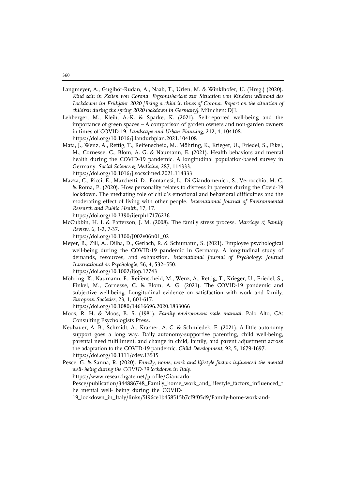- Langmeyer, A., Guglhör-Rudan, A., Naab, T., Urlen, M. & Winklhofer, U. (Hrsg.) (2020). *Kind sein in Zeiten von Corona. Ergebnisbericht zur Situation von Kindern während des*  Lockdowns im Frühjahr 2020 [Being a child in times of Corona. Report on the situation of *children during the spring 2020 lockdown in Germany].* München: DJI.
- Lehberger, M., Kleih, A.-K. & Sparke, K. (2021). Self-reported well-being and the importance of green spaces – A comparison of garden owners and non-garden owners in times of COVID-19. *Landscape and Urban Planning*, 212, 4, 104108. https://doi.org/10.1016/j.landurbplan.2021.104108
- Mata, J., Wenz, A., Rettig, T., Reifenscheid, M., Möhring, K., Krieger, U., Friedel, S., Fikel, M., Cornesse, C., Blom, A. G. & Naumann, E. (2021). Health behaviors and mental health during the COVID-19 pandemic. A longitudinal population-based survey in Germany. *Social Science & Medicine*, 287, 114333. https://doi.org/10.1016/j.socscimed.2021.114333
- Mazza, C., Ricci, E., Marchetti, D., Fontanesi, L., Di Giandomenico, S., Verrocchio, M. C. & Roma, P. (2020). How personality relates to distress in parents during the Covid-19 lockdown. The mediating role of child's emotional and behavioral difficulties and the moderating effect of living with other people. *International Journal of Environmental Research and Public Health*, 17, 17. https://doi.org/10.3390/ijerph17176236
- McCubbin, H. I. & Patterson, J. M. (2008). The family stress process. *Marriage & Family Review*, 6, 1-2, 7-37.

https://doi.org/10.1300/J002v06n01\_02

- Meyer, B., Zill, A., Dilba, D., Gerlach, R. & Schumann, S. (2021). Employee psychological well-being during the COVID-19 pandemic in Germany. A longitudinal study of demands, resources, and exhaustion. *International Journal of Psychology: Journal International de Psychologie*, 56, 4, 532–550. https://doi.org/10.1002/ijop.12743
- Möhring, K., Naumann, E., Reifenscheid, M., Wenz, A., Rettig, T., Krieger, U., Friedel, S., Finkel, M., Cornesse, C. & Blom, A. G. (2021). The COVID-19 pandemic and subjective well-being. Longitudinal evidence on satisfaction with work and family. *European Societies*, 23, 1, 601-617.

https://doi.org/10.1080/14616696.2020.1833066

- Moos, R. H. & Moos, B. S. (1981). *Family environment scale manual*. Palo Alto, CA: Consulting Psychologists Press.
- Neubauer, A. B., Schmidt, A., Kramer, A. C. & Schmiedek, F. (2021). A little autonomy support goes a long way. Daily autonomy-supportive parenting, child well-being, parental need fulfillment, and change in child, family, and parent adjustment across the adaptation to the COVID-19 pandemic. *Child Development*, 92, 5, 1679-1697. https://doi.org/10.1111/cdev.13515
- Pesce, G. & Sanna, R. (2020). *Family, home, work and lifestyle factors influenced the mental well- being during the COVID-19 lockdown in Italy*. https://www.researchgate.net/profile/Giancarlo-Pesce/publication/344886748\_Family\_home\_work\_and\_lifestyle\_factors\_influenced\_t he\_mental\_well-\_being\_during\_the\_COVID-19\_lockdown\_in\_Italy/links/5f96ce1b458515b7cf9f05d9/Family-home-work-and-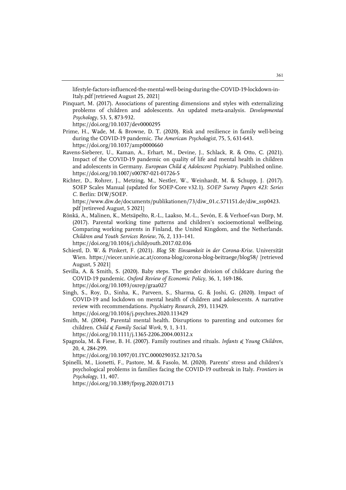lifestyle-factors-influenced-the-mental-well-being-during-the-COVID-19-lockdown-in-Italy.pdf [retrieved August 25, 2021]

Pinquart, M. (2017). Associations of parenting dimensions and styles with externalizing problems of children and adolescents. An updated meta-analysis. *Developmental Psychology*, 53, 5, 873-932.

https://doi.org/10.1037/dev0000295

- Prime, H., Wade, M. & Browne, D. T. (2020). Risk and resilience in family well-being during the COVID-19 pandemic. *The American Psychologist*, 75, 5, 631-643. https://doi.org/10.1037/amp0000660
- Ravens-Sieberer, U., Kaman, A., Erhart, M., Devine, J., Schlack, R. & Otto, C. (2021). Impact of the COVID-19 pandemic on quality of life and mental health in children and adolescents in Germany. *European Child & Adolescent Psychiatry*. Published online. https://doi.org/10.1007/s00787-021-01726-5
- Richter, D., Rohrer, J., Metzing, M., Nestler, W., Weinhardt, M. & Schupp, J. (2017). SOEP Scales Manual (updated for SOEP-Core v32.1). *SOEP Survey Papers 423: Series C*. Berlin: DIW/SOEP.

https://www.diw.de/documents/publikationen/73/diw\_01.c.571151.de/diw\_ssp0423. pdf [retireved August, 5 2021]

- Rönkä, A., Malinen, K., Metsäpelto, R.-L., Laakso, M.-L., Sevón, E. & Verhoef-van Dorp, M. (2017). Parental working time patterns and children's socioemotional wellbeing. Comparing working parents in Finland, the United Kingdom, and the Netherlands. *Children and Youth Services Review*, 76, 2, 133–141. https://doi.org/10.1016/j.childyouth.2017.02.036
- Schiestl, D. W. & Pinkert, F. (2021). *Blog 58: Einsamkeit in der Corona-Krise*. Universität Wien. https://viecer.univie.ac.at/corona-blog/corona-blog-beitraege/blog58/ [retrieved August, 5 2021]
- Sevilla, A. & Smith, S. (2020). Baby steps. The gender division of childcare during the COVID-19 pandemic. *Oxford Review of Economic Policy*, 36, 1, 169-186. https://doi.org/10.1093/oxrep/graa027
- Singh, S., Roy, D., Sinha, K., Parveen, S., Sharma, G. & Joshi, G. (2020). Impact of COVID-19 and lockdown on mental health of children and adolescents. A narrative review with recommendations. *Psychiatry Research*, 293, 113429. https://doi.org/10.1016/j.psychres.2020.113429
- Smith, M. (2004). Parental mental health. Disruptions to parenting and outcomes for children. *Child & Family Social Work*, 9, 1, 3-11.

https://doi.org/10.1111/j.1365-2206.2004.00312.x

Spagnola, M. & Fiese, B. H. (2007). Family routines and rituals. *Infants & Young Children*, 20, 4, 284-299.

https://doi.org/10.1097/01.IYC.0000290352.32170.5a

Spinelli, M., Lionetti, F., Pastore, M. & Fasolo, M. (2020). Parents' stress and children's psychological problems in families facing the COVID-19 outbreak in Italy. *Frontiers in Psychology*, 11, 407.

https://doi.org/10.3389/fpsyg.2020.01713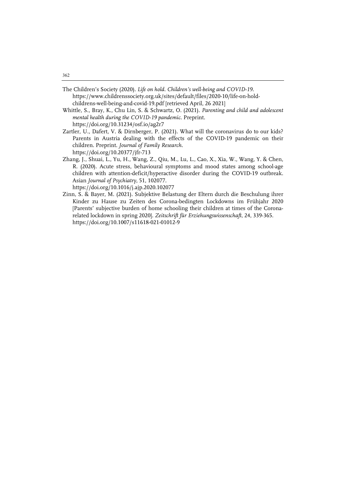- The Children's Society (2020). *Life on hold. Children's well-being and COVID-19.* https://www.childrenssociety.org.uk/sites/default/files/2020-10/life-on-holdchildrens-well-being-and-covid-19.pdf [retrieved April, 26 2021]
- Whittle, S., Bray, K., Chu Lin, S. & Schwartz, O. (2021). *Parenting and child and adolescent mental health during the COVID-19 pandemic*. Preprint. https://doi.org/10.31234/osf.io/ag2r7
- Zartler, U., Dafert, V. & Dirnberger, P. (2021). What will the coronavirus do to our kids? Parents in Austria dealing with the effects of the COVID-19 pandemic on their children. Preprint. *Journal of Family Research*. https://doi.org/10.20377/jfr-713
- Zhang, J., Shuai, L., Yu, H., Wang, Z., Qiu, M., Lu, L., Cao, X., Xia, W., Wang, Y. & Chen, R. (2020). Acute stress, behavioural symptoms and mood states among school-age children with attention-deficit/hyperactive disorder during the COVID-19 outbreak. Asian *Journal of Psychiatry*, 51, 102077. https://doi.org/10.1016/j.ajp.2020.102077
- Zinn, S. & Bayer, M. (2021). Subjektive Belastung der Eltern durch die Beschulung ihrer Kinder zu Hause zu Zeiten des Corona-bedingten Lockdowns im Frühjahr 2020 [Parents' subjective burden of home schooling their children at times of the Coronarelated lockdown in spring 2020]. *Zeitschrift für Erziehungswissenschaft*, 24, 339-365. https://doi.org/10.1007/s11618-021-01012-9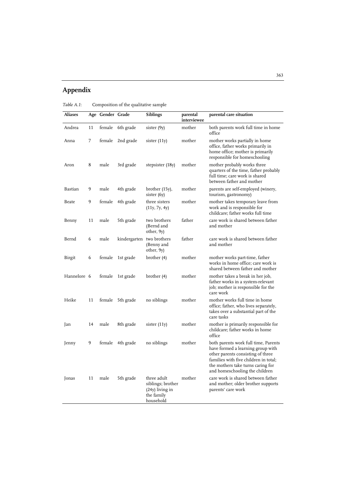# **Appendix**

*Table A.1*: Composition of the qualitative sample

| Aliases     |    | Age Gender Grade |           | <b>Siblings</b>                                                                  | parental<br>interviewee | parental care situation                                                                                                                                                                                                        |
|-------------|----|------------------|-----------|----------------------------------------------------------------------------------|-------------------------|--------------------------------------------------------------------------------------------------------------------------------------------------------------------------------------------------------------------------------|
| Andrea      | 11 | female           | 6th grade | sister (9y)                                                                      | mother                  | both parents work full time in home<br>office                                                                                                                                                                                  |
| Anna        | 7  | female           | 2nd grade | sister $(11y)$                                                                   | mother                  | mother works partially in home<br>office, father works primarily in<br>home office; mother is primarily<br>responsible for homeschooling                                                                                       |
| Aron        | 8  | male             | 3rd grade | stepsister (18y)                                                                 | mother                  | mother probably works three<br>quarters of the time, father probably<br>full time; care work is shared<br>between father and mother                                                                                            |
| Bastian     | 9  | male             | 4th grade | brother (15y),<br>sister (6y)                                                    | mother                  | parents are self-employed (winery,<br>tourism, gastronomy)                                                                                                                                                                     |
| Beate       | 9  | female           | 4th grade | three sisters<br>(11y, 7y, 4y)                                                   | mother                  | mother takes temporary leave from<br>work and is responsible for<br>childcare; father works full time                                                                                                                          |
| Benny       | 11 | male             | 5th grade | two brothers<br>(Bernd and<br>other, 9y)                                         | father                  | care work is shared between father<br>and mother                                                                                                                                                                               |
| Bernd       | 6  | male             |           | kindergarten two brothers<br>(Benny and<br>other, 9y)                            | father                  | care work is shared between father<br>and mother                                                                                                                                                                               |
| Birgit      | 6  | female           | 1st grade | brother (4)                                                                      | mother                  | mother works part-time, father<br>works in home office; care work is<br>shared between father and mother                                                                                                                       |
| Hannelore 6 |    | female           | 1st grade | brother (4)                                                                      | mother                  | mother takes a break in her job,<br>father works in a system-relevant<br>job; mother is responsible for the<br>care work                                                                                                       |
| Heike       | 11 | female           | 5th grade | no siblings                                                                      | mother                  | mother works full time in home<br>office; father, who lives separately,<br>takes over a substantial part of the<br>care tasks                                                                                                  |
| Jan         | 14 | male             | 8th grade | sister (11y)                                                                     | mother                  | mother is primarily responsible for<br>childcare: father works in home<br>office                                                                                                                                               |
| Jenny       | 9  | female           | 4th grade | no siblings                                                                      | mother                  | both parents work full time, Parents<br>have formed a learning group with<br>other parents consisting of three<br>families with five children in total;<br>the mothers take turns caring for<br>and homeschooling the children |
| Jonas       | 11 | male             | 5th grade | three adult<br>siblings; brother<br>$(24y)$ living in<br>the family<br>household | mother                  | care work is shared between father<br>and mother; older brother supports<br>parents' care work                                                                                                                                 |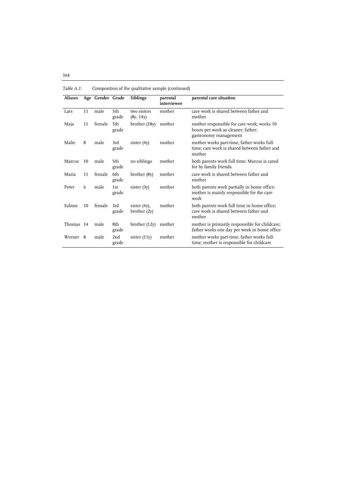| Composition of the qualitative sample (commucu) |     |                  |              |                                 |                         |                                                                                                           |
|-------------------------------------------------|-----|------------------|--------------|---------------------------------|-------------------------|-----------------------------------------------------------------------------------------------------------|
| <b>Aliases</b>                                  |     | Age Gender Grade |              | <b>Siblings</b>                 | parental<br>interviewee | parental care situation                                                                                   |
| Lars                                            | 11  | male             | 5th<br>grade | two sisters<br>(8y, 14y)        | mother                  | care work is shared between father and<br>mother                                                          |
| Maja                                            | 11  | female           | 5th<br>grade | brother (18y)                   | mother                  | mother responsible for care work; works 10<br>hours per week as cleaner; father:<br>gastronomy management |
| Malte                                           | 8   | male             | 3rd<br>grade | sister $(4y)$                   | mother                  | mother works part-time, father works full-<br>time; care work is shared between father and<br>mother      |
| Marcus                                          | 10  | male             | 5th<br>grade | no siblings                     | mother                  | both parents work full time; Marcus is cared<br>for by family friends                                     |
| Maria                                           | 11  | female           | 6th<br>grade | brother (8y)                    | mother                  | care work is shared between father and<br>mother                                                          |
| Peter                                           | 6   | male             | 1st<br>grade | sister $(3y)$                   | mother                  | both parents work partially in home office;<br>mother is mainly responsible for the care<br>work          |
| Sabine                                          | 10  | female           | 3rd<br>grade | sister $(4y)$ ,<br>brother (2y) | mother                  | both parents work full time in home office;<br>care work is shared between father and<br>mother           |
| Thomas 14                                       |     | male             | 8th<br>grade | brother $(12y)$                 | mother                  | mother is primarily responsible for childcare;<br>father works one day per week in home office            |
| Werner                                          | - 8 | male             | 2nd<br>grade | sister $(11y)$                  | mother                  | mother works part-time, father works full-<br>time; mother is responsible for childcare                   |

*Table A.1*: Composition of the qualitative sample (continued)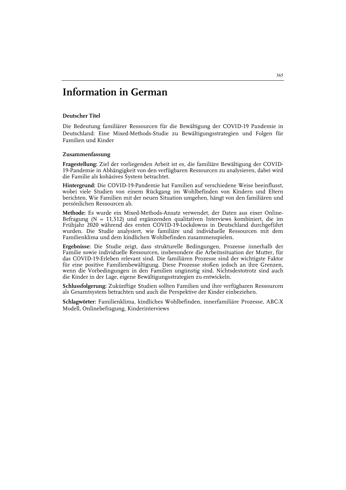# **Information in German**

#### **Deutscher Titel**

Die Bedeutung familiärer Ressourcen für die Bewältigung der COVID-19 Pandemie in Deutschland: Eine Mixed-Methods-Studie zu Bewältigungsstrategien und Folgen für Familien und Kinder

#### **Zusammenfassung**

**Fragestellung:** Ziel der vorliegenden Arbeit ist es, die familiäre Bewältigung der COVID-19-Pandemie in Abhängigkeit von den verfügbaren Ressourcen zu analysieren, dabei wird die Familie als kohäsives System betrachtet.

**Hintergrund:** Die COVID-19-Pandemie hat Familien auf verschiedene Weise beeinflusst, wobei viele Studien von einem Rückgang im Wohlbefinden von Kindern und Eltern berichten. Wie Familien mit der neuen Situation umgehen, hängt von den familiären und persönlichen Ressourcen ab.

**Methode:** Es wurde ein Mixed-Methods-Ansatz verwendet, der Daten aus einer Online-Befragung (N = 11,512) und ergänzenden qualitativen Interviews kombiniert, die im Frühjahr 2020 während des ersten COVID-19-Lockdowns in Deutschland durchgeführt wurden. Die Studie analysiert, wie familiäre und individuelle Ressourcen mit dem Familienklima und dem kindlichen Wohlbefinden zusammenspielen.

**Ergebnisse:** Die Studie zeigt, dass strukturelle Bedingungen, Prozesse innerhalb der Familie sowie individuelle Ressourcen, insbesondere die Arbeitssituation der Mutter, für das COVID-19-Erleben relevant sind. Die familiären Prozesse sind der wichtigste Faktor für eine positive Familienbewältigung. Diese Prozesse stoßen jedoch an ihre Grenzen, wenn die Vorbedingungen in den Familien ungünstig sind. Nichtsdestotrotz sind auch die Kinder in der Lage, eigene Bewältigungsstrategien zu entwickeln.

**Schlussfolgerung:** Zukünftige Studien sollten Familien und ihre verfügbaren Ressourcen als Gesamtsystem betrachten und auch die Perspektive der Kinder einbeziehen.

**Schlagwörter:** Familienklima, kindliches Wohlbefinden, innerfamiliäre Prozesse, ABC-X Modell, Onlinebefragung, Kinderinterviews